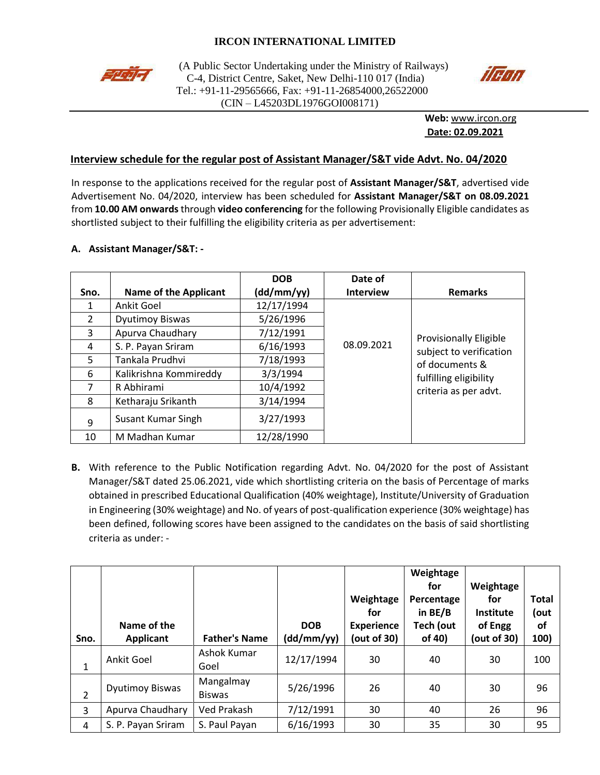# **IRCON INTERNATIONAL LIMITED**



(A Public Sector Undertaking under the Ministry of Railways)<br>  $C_A$  District Centre, Saket, New Delhi 110.017 (India) C-4, District Centre, Saket, New Delhi-110 017 (India) Tel.: +91-11-29565666, Fax: +91-11-26854000,26522000 (CIN – L45203DL1976GOI008171)



**Web:** [www.ircon.org](http://www.ircon.org/) **Date: 02.09.2021**

## **Interview schedule for the regular post of Assistant Manager/S&T vide Advt. No. 04/2020**

In response to the applications received for the regular post of **Assistant Manager/S&T**, advertised vide Advertisement No. 04/2020, interview has been scheduled for **Assistant Manager/S&T on 08.09.2021**  from **10.00 AM onwards** through **video conferencing** for the following Provisionally Eligible candidates as shortlisted subject to their fulfilling the eligibility criteria as per advertisement:

#### **A. Assistant Manager/S&T: -**

|               |                              | <b>DOB</b> | Date of          |                                                                     |
|---------------|------------------------------|------------|------------------|---------------------------------------------------------------------|
| Sno.          | <b>Name of the Applicant</b> | (dd/mm/yy) | <b>Interview</b> | <b>Remarks</b>                                                      |
| 1             | Ankit Goel                   | 12/17/1994 |                  |                                                                     |
| $\mathcal{L}$ | <b>Dyutimoy Biswas</b>       | 5/26/1996  |                  |                                                                     |
| 3             | Apurva Chaudhary             | 7/12/1991  |                  | Provisionally Eligible                                              |
| 4             | S. P. Payan Sriram           | 6/16/1993  | 08.09.2021       | subject to verification<br>of documents &<br>fulfilling eligibility |
| 5             | Tankala Prudhvi              | 7/18/1993  |                  |                                                                     |
| 6             | Kalikrishna Kommireddy       | 3/3/1994   |                  |                                                                     |
| 7             | R Abhirami                   | 10/4/1992  |                  | criteria as per advt.                                               |
| 8             | Ketharaju Srikanth           | 3/14/1994  |                  |                                                                     |
| 9             | Susant Kumar Singh           | 3/27/1993  |                  |                                                                     |
| 10            | M Madhan Kumar               | 12/28/1990 |                  |                                                                     |

**B.** With reference to the Public Notification regarding Advt. No. 04/2020 for the post of Assistant Manager/S&T dated 25.06.2021, vide which shortlisting criteria on the basis of Percentage of marks obtained in prescribed Educational Qualification (40% weightage), Institute/University of Graduation in Engineering (30% weightage) and No. of years of post-qualification experience (30% weightage) has been defined, following scores have been assigned to the candidates on the basis of said shortlisting criteria as under: -

| Sno.           | Name of the<br><b>Applicant</b> | <b>Father's Name</b>       | <b>DOB</b><br>(dd/mm/yy) | Weightage<br>for<br><b>Experience</b><br>(out of 30) | Weightage<br>for<br>Percentage<br>in $BE/B$<br>Tech (out<br>of 40) | Weightage<br>for<br>Institute<br>of Engg<br>(out of 30) | <b>Total</b><br>(out<br><b>of</b><br>100) |
|----------------|---------------------------------|----------------------------|--------------------------|------------------------------------------------------|--------------------------------------------------------------------|---------------------------------------------------------|-------------------------------------------|
| 1              | Ankit Goel                      | Ashok Kumar<br>Goel        | 12/17/1994               | 30                                                   | 40                                                                 | 30                                                      | 100                                       |
| $\overline{2}$ | Dyutimoy Biswas                 | Mangalmay<br><b>Biswas</b> | 5/26/1996                | 26                                                   | 40                                                                 | 30                                                      | 96                                        |
| 3              | Apurva Chaudhary                | Ved Prakash                | 7/12/1991                | 30                                                   | 40                                                                 | 26                                                      | 96                                        |
| 4              | S. P. Payan Sriram              | S. Paul Payan              | 6/16/1993                | 30                                                   | 35                                                                 | 30                                                      | 95                                        |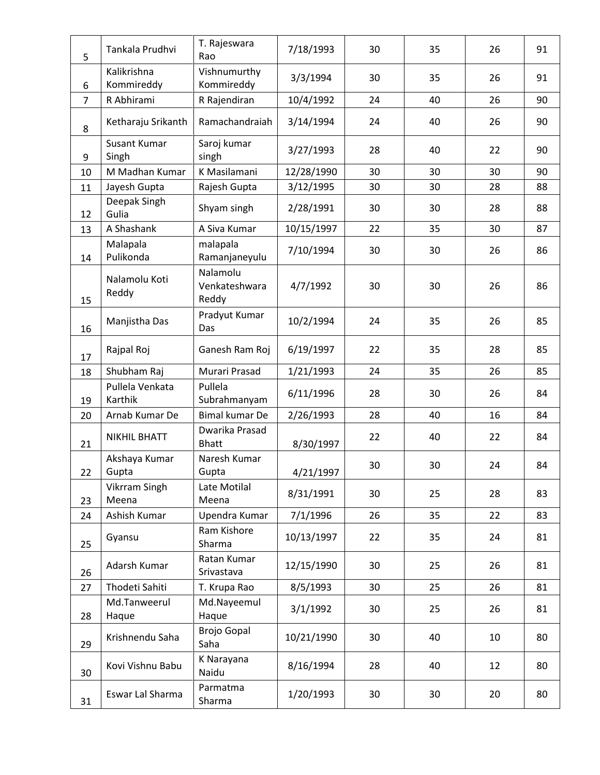| 5              | Tankala Prudhvi              | T. Rajeswara<br>Rao                | 7/18/1993  | 30 | 35 | 26 | 91 |
|----------------|------------------------------|------------------------------------|------------|----|----|----|----|
| 6              | Kalikrishna<br>Kommireddy    | Vishnumurthy<br>Kommireddy         | 3/3/1994   | 30 | 35 | 26 | 91 |
| $\overline{7}$ | R Abhirami                   | R Rajendiran                       | 10/4/1992  | 24 | 40 | 26 | 90 |
| 8              | Ketharaju Srikanth           | Ramachandraiah                     | 3/14/1994  | 24 | 40 | 26 | 90 |
| 9              | <b>Susant Kumar</b><br>Singh | Saroj kumar<br>singh               | 3/27/1993  | 28 | 40 | 22 | 90 |
| 10             | M Madhan Kumar               | K Masilamani                       | 12/28/1990 | 30 | 30 | 30 | 90 |
| 11             | Jayesh Gupta                 | Rajesh Gupta                       | 3/12/1995  | 30 | 30 | 28 | 88 |
| 12             | Deepak Singh<br>Gulia        | Shyam singh                        | 2/28/1991  | 30 | 30 | 28 | 88 |
| 13             | A Shashank                   | A Siva Kumar                       | 10/15/1997 | 22 | 35 | 30 | 87 |
| 14             | Malapala<br>Pulikonda        | malapala<br>Ramanjaneyulu          | 7/10/1994  | 30 | 30 | 26 | 86 |
| 15             | Nalamolu Koti<br>Reddy       | Nalamolu<br>Venkateshwara<br>Reddy | 4/7/1992   | 30 | 30 | 26 | 86 |
| 16             | Manjistha Das                | Pradyut Kumar<br>Das               | 10/2/1994  | 24 | 35 | 26 | 85 |
| 17             | Rajpal Roj                   | Ganesh Ram Roj                     | 6/19/1997  | 22 | 35 | 28 | 85 |
| 18             | Shubham Raj                  | Murari Prasad                      | 1/21/1993  | 24 | 35 | 26 | 85 |
| 19             | Pullela Venkata<br>Karthik   | Pullela<br>Subrahmanyam            | 6/11/1996  | 28 | 30 | 26 | 84 |
| 20             | Arnab Kumar De               | Bimal kumar De                     | 2/26/1993  | 28 | 40 | 16 | 84 |
| 21             | <b>NIKHIL BHATT</b>          | Dwarika Prasad<br><b>Bhatt</b>     | 8/30/1997  | 22 | 40 | 22 | 84 |
| 22             | Akshaya Kumar<br>Gupta       | Naresh Kumar<br>Gupta              | 4/21/1997  | 30 | 30 | 24 | 84 |
| 23             | Vikrram Singh<br>Meena       | Late Motilal<br>Meena              | 8/31/1991  | 30 | 25 | 28 | 83 |
| 24             | Ashish Kumar                 | Upendra Kumar                      | 7/1/1996   | 26 | 35 | 22 | 83 |
| 25             | Gyansu                       | Ram Kishore<br>Sharma              | 10/13/1997 | 22 | 35 | 24 | 81 |
| 26             | Adarsh Kumar                 | Ratan Kumar<br>Srivastava          | 12/15/1990 | 30 | 25 | 26 | 81 |
| 27             | Thodeti Sahiti               | T. Krupa Rao                       | 8/5/1993   | 30 | 25 | 26 | 81 |
| 28             | Md.Tanweerul<br>Haque        | Md.Nayeemul<br>Haque               | 3/1/1992   | 30 | 25 | 26 | 81 |
| 29             | Krishnendu Saha              | <b>Brojo Gopal</b><br>Saha         | 10/21/1990 | 30 | 40 | 10 | 80 |
| 30             | Kovi Vishnu Babu             | K Narayana<br>Naidu                | 8/16/1994  | 28 | 40 | 12 | 80 |
| 31             | Eswar Lal Sharma             | Parmatma<br>Sharma                 | 1/20/1993  | 30 | 30 | 20 | 80 |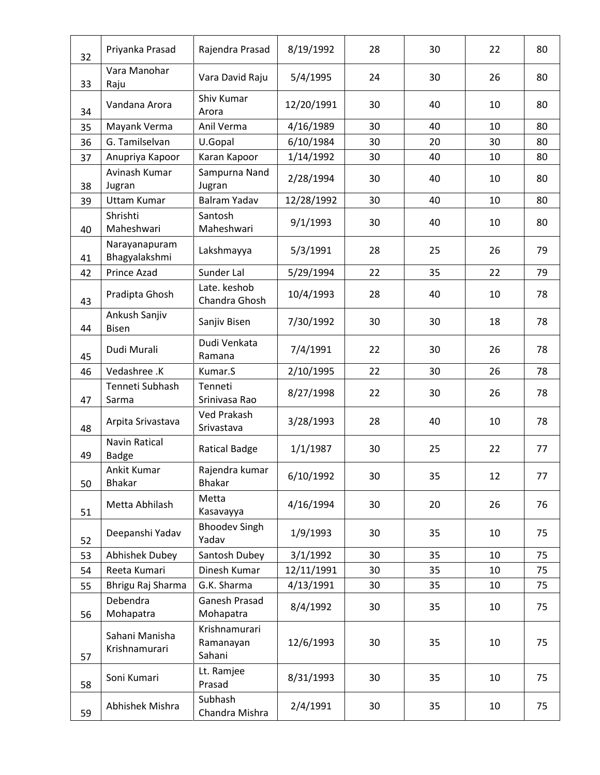| 32 | Priyanka Prasad                      | Rajendra Prasad                      | 8/19/1992  | 28 | 30 | 22 | 80 |
|----|--------------------------------------|--------------------------------------|------------|----|----|----|----|
| 33 | Vara Manohar<br>Raju                 | Vara David Raju                      | 5/4/1995   | 24 | 30 | 26 | 80 |
| 34 | Vandana Arora                        | Shiv Kumar<br>Arora                  | 12/20/1991 | 30 | 40 | 10 | 80 |
| 35 | Mayank Verma                         | Anil Verma                           | 4/16/1989  | 30 | 40 | 10 | 80 |
| 36 | G. Tamilselvan                       | U.Gopal                              | 6/10/1984  | 30 | 20 | 30 | 80 |
| 37 | Anupriya Kapoor                      | Karan Kapoor                         | 1/14/1992  | 30 | 40 | 10 | 80 |
| 38 | Avinash Kumar<br>Jugran              | Sampurna Nand<br>Jugran              | 2/28/1994  | 30 | 40 | 10 | 80 |
| 39 | <b>Uttam Kumar</b>                   | Balram Yadav                         | 12/28/1992 | 30 | 40 | 10 | 80 |
| 40 | Shrishti<br>Maheshwari               | Santosh<br>Maheshwari                | 9/1/1993   | 30 | 40 | 10 | 80 |
| 41 | Narayanapuram<br>Bhagyalakshmi       | Lakshmayya                           | 5/3/1991   | 28 | 25 | 26 | 79 |
| 42 | Prince Azad                          | Sunder Lal                           | 5/29/1994  | 22 | 35 | 22 | 79 |
| 43 | Pradipta Ghosh                       | Late. keshob<br>Chandra Ghosh        | 10/4/1993  | 28 | 40 | 10 | 78 |
| 44 | Ankush Sanjiv<br><b>Bisen</b>        | Sanjiv Bisen                         | 7/30/1992  | 30 | 30 | 18 | 78 |
| 45 | Dudi Murali                          | Dudi Venkata<br>Ramana               | 7/4/1991   | 22 | 30 | 26 | 78 |
| 46 | Vedashree .K                         | Kumar.S                              | 2/10/1995  | 22 | 30 | 26 | 78 |
| 47 | Tenneti Subhash<br>Sarma             | Tenneti<br>Srinivasa Rao             | 8/27/1998  | 22 | 30 | 26 | 78 |
| 48 | Arpita Srivastava                    | Ved Prakash<br>Srivastava            | 3/28/1993  | 28 | 40 | 10 | 78 |
| 49 | <b>Navin Ratical</b><br><b>Badge</b> | Ratical Badge                        | 1/1/1987   | 30 | 25 | 22 | 77 |
| 50 | Ankit Kumar<br><b>Bhakar</b>         | Rajendra kumar<br><b>Bhakar</b>      | 6/10/1992  | 30 | 35 | 12 | 77 |
| 51 | Metta Abhilash                       | Metta<br>Kasavayya                   | 4/16/1994  | 30 | 20 | 26 | 76 |
| 52 | Deepanshi Yadav                      | <b>Bhoodev Singh</b><br>Yadav        | 1/9/1993   | 30 | 35 | 10 | 75 |
| 53 | Abhishek Dubey                       | Santosh Dubey                        | 3/1/1992   | 30 | 35 | 10 | 75 |
| 54 | Reeta Kumari                         | Dinesh Kumar                         | 12/11/1991 | 30 | 35 | 10 | 75 |
| 55 | Bhrigu Raj Sharma                    | G.K. Sharma                          | 4/13/1991  | 30 | 35 | 10 | 75 |
|    | Debendra                             | Ganesh Prasad                        | 8/4/1992   | 30 | 35 | 10 | 75 |
| 56 | Mohapatra                            | Mohapatra                            |            |    |    |    |    |
| 57 | Sahani Manisha<br>Krishnamurari      | Krishnamurari<br>Ramanayan<br>Sahani | 12/6/1993  | 30 | 35 | 10 | 75 |
| 58 | Soni Kumari                          | Lt. Ramjee<br>Prasad                 | 8/31/1993  | 30 | 35 | 10 | 75 |
| 59 | Abhishek Mishra                      | Subhash<br>Chandra Mishra            | 2/4/1991   | 30 | 35 | 10 | 75 |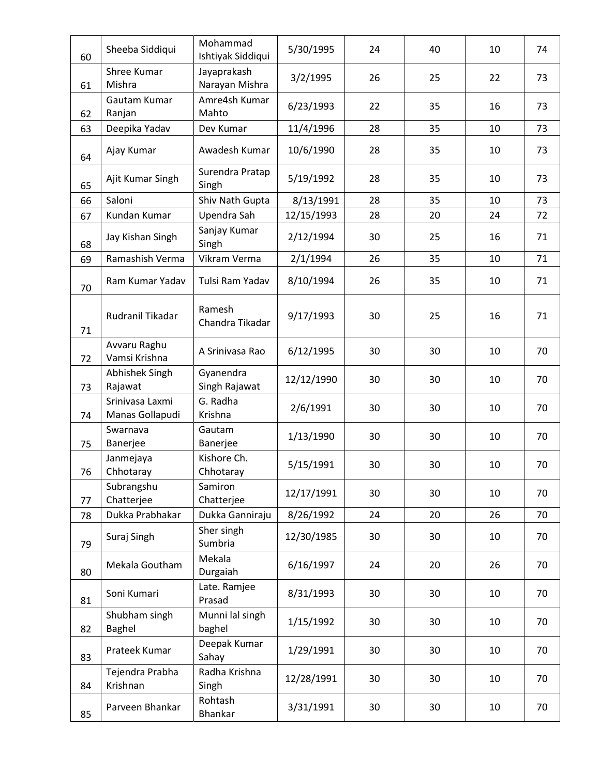| 60 | Sheeba Siddiqui                    | Mohammad<br>Ishtiyak Siddiqui | 5/30/1995  | 24 | 40 | 10 | 74 |
|----|------------------------------------|-------------------------------|------------|----|----|----|----|
| 61 | Shree Kumar<br>Mishra              | Jayaprakash<br>Narayan Mishra | 3/2/1995   | 26 | 25 | 22 | 73 |
| 62 | Gautam Kumar<br>Ranjan             | Amre4sh Kumar<br>Mahto        | 6/23/1993  | 22 | 35 | 16 | 73 |
| 63 | Deepika Yadav                      | Dev Kumar                     | 11/4/1996  | 28 | 35 | 10 | 73 |
| 64 | Ajay Kumar                         | Awadesh Kumar                 | 10/6/1990  | 28 | 35 | 10 | 73 |
| 65 | Ajit Kumar Singh                   | Surendra Pratap<br>Singh      | 5/19/1992  | 28 | 35 | 10 | 73 |
| 66 | Saloni                             | Shiv Nath Gupta               | 8/13/1991  | 28 | 35 | 10 | 73 |
| 67 | Kundan Kumar                       | Upendra Sah                   | 12/15/1993 | 28 | 20 | 24 | 72 |
| 68 | Jay Kishan Singh                   | Sanjay Kumar<br>Singh         | 2/12/1994  | 30 | 25 | 16 | 71 |
| 69 | Ramashish Verma                    | Vikram Verma                  | 2/1/1994   | 26 | 35 | 10 | 71 |
| 70 | Ram Kumar Yadav                    | Tulsi Ram Yadav               | 8/10/1994  | 26 | 35 | 10 | 71 |
| 71 | Rudranil Tikadar                   | Ramesh<br>Chandra Tikadar     | 9/17/1993  | 30 | 25 | 16 | 71 |
| 72 | Avvaru Raghu<br>Vamsi Krishna      | A Srinivasa Rao               | 6/12/1995  | 30 | 30 | 10 | 70 |
| 73 | Abhishek Singh<br>Rajawat          | Gyanendra<br>Singh Rajawat    | 12/12/1990 | 30 | 30 | 10 | 70 |
| 74 | Srinivasa Laxmi<br>Manas Gollapudi | G. Radha<br>Krishna           | 2/6/1991   | 30 | 30 | 10 | 70 |
| 75 | Swarnava<br>Banerjee               | Gautam<br>Banerjee            | 1/13/1990  | 30 | 30 | 10 | 70 |
| 76 | Janmejaya<br>Chhotaray             | Kishore Ch.<br>Chhotaray      | 5/15/1991  | 30 | 30 | 10 | 70 |
| 77 | Subrangshu<br>Chatterjee           | Samiron<br>Chatterjee         | 12/17/1991 | 30 | 30 | 10 | 70 |
| 78 | Dukka Prabhakar                    | Dukka Ganniraju               | 8/26/1992  | 24 | 20 | 26 | 70 |
| 79 | Suraj Singh                        | Sher singh<br>Sumbria         | 12/30/1985 | 30 | 30 | 10 | 70 |
| 80 | Mekala Goutham                     | Mekala<br>Durgaiah            | 6/16/1997  | 24 | 20 | 26 | 70 |
| 81 | Soni Kumari                        | Late. Ramjee<br>Prasad        | 8/31/1993  | 30 | 30 | 10 | 70 |
| 82 | Shubham singh<br><b>Baghel</b>     | Munni lal singh<br>baghel     | 1/15/1992  | 30 | 30 | 10 | 70 |
| 83 | Prateek Kumar                      | Deepak Kumar<br>Sahay         | 1/29/1991  | 30 | 30 | 10 | 70 |
| 84 | Tejendra Prabha<br>Krishnan        | Radha Krishna<br>Singh        | 12/28/1991 | 30 | 30 | 10 | 70 |
| 85 | Parveen Bhankar                    | Rohtash<br>Bhankar            | 3/31/1991  | 30 | 30 | 10 | 70 |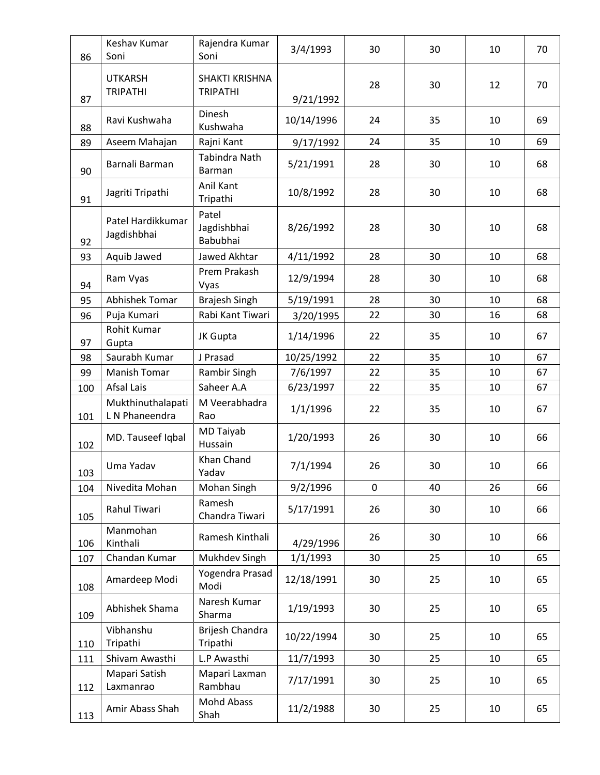| 86  | Keshav Kumar<br>Soni                | Rajendra Kumar<br>Soni            | 3/4/1993   | 30 | 30 | 10 | 70 |
|-----|-------------------------------------|-----------------------------------|------------|----|----|----|----|
| 87  | <b>UTKARSH</b><br><b>TRIPATHI</b>   | SHAKTI KRISHNA<br><b>TRIPATHI</b> | 9/21/1992  | 28 | 30 | 12 | 70 |
| 88  | Ravi Kushwaha                       | Dinesh<br>Kushwaha                | 10/14/1996 | 24 | 35 | 10 | 69 |
| 89  | Aseem Mahajan                       | Rajni Kant                        | 9/17/1992  | 24 | 35 | 10 | 69 |
| 90  | Barnali Barman                      | Tabindra Nath<br>Barman           | 5/21/1991  | 28 | 30 | 10 | 68 |
| 91  | Jagriti Tripathi                    | Anil Kant<br>Tripathi             | 10/8/1992  | 28 | 30 | 10 | 68 |
| 92  | Patel Hardikkumar<br>Jagdishbhai    | Patel<br>Jagdishbhai<br>Babubhai  | 8/26/1992  | 28 | 30 | 10 | 68 |
| 93  | Aquib Jawed                         | Jawed Akhtar                      | 4/11/1992  | 28 | 30 | 10 | 68 |
| 94  | Ram Vyas                            | Prem Prakash<br>Vyas              | 12/9/1994  | 28 | 30 | 10 | 68 |
| 95  | Abhishek Tomar                      | <b>Brajesh Singh</b>              | 5/19/1991  | 28 | 30 | 10 | 68 |
| 96  | Puja Kumari                         | Rabi Kant Tiwari                  | 3/20/1995  | 22 | 30 | 16 | 68 |
| 97  | Rohit Kumar<br>Gupta                | JK Gupta                          | 1/14/1996  | 22 | 35 | 10 | 67 |
| 98  | Saurabh Kumar                       | J Prasad                          | 10/25/1992 | 22 | 35 | 10 | 67 |
| 99  | Manish Tomar                        | Rambir Singh                      | 7/6/1997   | 22 | 35 | 10 | 67 |
| 100 | Afsal Lais                          | Saheer A.A                        | 6/23/1997  | 22 | 35 | 10 | 67 |
| 101 | Mukthinuthalapati<br>L N Phaneendra | M Veerabhadra<br>Rao              | 1/1/1996   | 22 | 35 | 10 | 67 |
| 102 | MD. Tauseef Iqbal                   | MD Taiyab<br>Hussain              | 1/20/1993  | 26 | 30 | 10 | 66 |
| 103 | Uma Yadav                           | Khan Chand<br>Yadav               | 7/1/1994   | 26 | 30 | 10 | 66 |
| 104 | Nivedita Mohan                      | Mohan Singh                       | 9/2/1996   | 0  | 40 | 26 | 66 |
| 105 | Rahul Tiwari                        | Ramesh<br>Chandra Tiwari          | 5/17/1991  | 26 | 30 | 10 | 66 |
| 106 | Manmohan<br>Kinthali                | Ramesh Kinthali                   | 4/29/1996  | 26 | 30 | 10 | 66 |
| 107 | Chandan Kumar                       | Mukhdev Singh                     | 1/1/1993   | 30 | 25 | 10 | 65 |
| 108 | Amardeep Modi                       | Yogendra Prasad<br>Modi           | 12/18/1991 | 30 | 25 | 10 | 65 |
| 109 | Abhishek Shama                      | Naresh Kumar<br>Sharma            | 1/19/1993  | 30 | 25 | 10 | 65 |
| 110 | Vibhanshu<br>Tripathi               | Brijesh Chandra<br>Tripathi       | 10/22/1994 | 30 | 25 | 10 | 65 |
| 111 | Shivam Awasthi                      | L.P Awasthi                       | 11/7/1993  | 30 | 25 | 10 | 65 |
| 112 | Mapari Satish<br>Laxmanrao          | Mapari Laxman<br>Rambhau          | 7/17/1991  | 30 | 25 | 10 | 65 |
| 113 | Amir Abass Shah                     | Mohd Abass<br>Shah                | 11/2/1988  | 30 | 25 | 10 | 65 |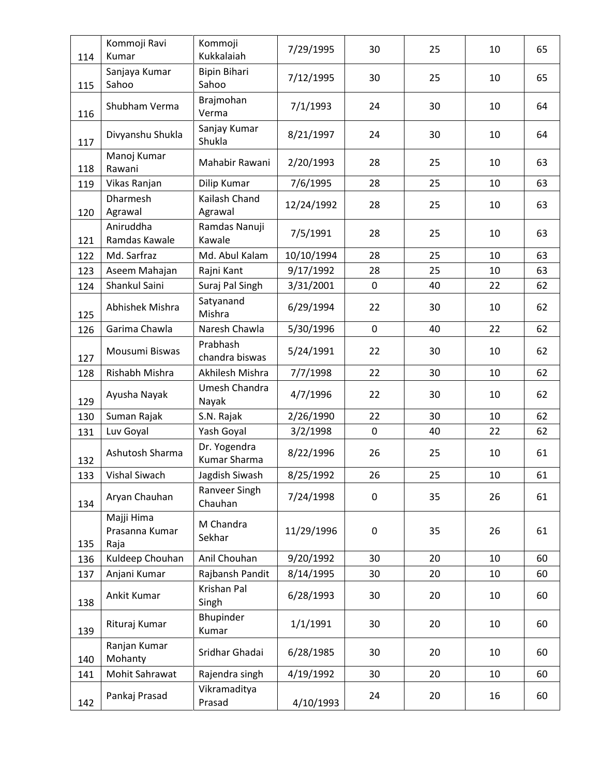| 114 | Kommoji Ravi<br>Kumar                | Kommoji<br>Kukkalaiah        | 7/29/1995  | 30          | 25 | 10 | 65 |
|-----|--------------------------------------|------------------------------|------------|-------------|----|----|----|
| 115 | Sanjaya Kumar<br>Sahoo               | <b>Bipin Bihari</b><br>Sahoo | 7/12/1995  | 30          | 25 | 10 | 65 |
| 116 | Shubham Verma                        | Brajmohan<br>Verma           | 7/1/1993   | 24          | 30 | 10 | 64 |
| 117 | Divyanshu Shukla                     | Sanjay Kumar<br>Shukla       | 8/21/1997  | 24          | 30 | 10 | 64 |
| 118 | Manoj Kumar<br>Rawani                | Mahabir Rawani               | 2/20/1993  | 28          | 25 | 10 | 63 |
| 119 | Vikas Ranjan                         | Dilip Kumar                  | 7/6/1995   | 28          | 25 | 10 | 63 |
| 120 | <b>Dharmesh</b><br>Agrawal           | Kailash Chand<br>Agrawal     | 12/24/1992 | 28          | 25 | 10 | 63 |
| 121 | Aniruddha<br>Ramdas Kawale           | Ramdas Nanuji<br>Kawale      | 7/5/1991   | 28          | 25 | 10 | 63 |
| 122 | Md. Sarfraz                          | Md. Abul Kalam               | 10/10/1994 | 28          | 25 | 10 | 63 |
| 123 | Aseem Mahajan                        | Rajni Kant                   | 9/17/1992  | 28          | 25 | 10 | 63 |
| 124 | Shankul Saini                        | Suraj Pal Singh              | 3/31/2001  | $\mathbf 0$ | 40 | 22 | 62 |
| 125 | Abhishek Mishra                      | Satyanand<br>Mishra          | 6/29/1994  | 22          | 30 | 10 | 62 |
| 126 | Garima Chawla                        | Naresh Chawla                | 5/30/1996  | $\mathbf 0$ | 40 | 22 | 62 |
| 127 | Mousumi Biswas                       | Prabhash<br>chandra biswas   | 5/24/1991  | 22          | 30 | 10 | 62 |
| 128 | Rishabh Mishra                       | Akhilesh Mishra              | 7/7/1998   | 22          | 30 | 10 | 62 |
| 129 | Ayusha Nayak                         | Umesh Chandra<br>Nayak       | 4/7/1996   | 22          | 30 | 10 | 62 |
| 130 | Suman Rajak                          | S.N. Rajak                   | 2/26/1990  | 22          | 30 | 10 | 62 |
| 131 | Luv Goyal                            | Yash Goyal                   | 3/2/1998   | $\pmb{0}$   | 40 | 22 | 62 |
| 132 | Ashutosh Sharma                      | Dr. Yogendra<br>Kumar Sharma | 8/22/1996  | 26          | 25 | 10 | 61 |
| 133 | Vishal Siwach                        | Jagdish Siwash               | 8/25/1992  | 26          | 25 | 10 | 61 |
| 134 | Aryan Chauhan                        | Ranveer Singh<br>Chauhan     | 7/24/1998  | 0           | 35 | 26 | 61 |
| 135 | Majji Hima<br>Prasanna Kumar<br>Raja | M Chandra<br>Sekhar          | 11/29/1996 | $\mathbf 0$ | 35 | 26 | 61 |
| 136 | Kuldeep Chouhan                      | Anil Chouhan                 | 9/20/1992  | 30          | 20 | 10 | 60 |
| 137 | Anjani Kumar                         | Rajbansh Pandit              | 8/14/1995  | 30          | 20 | 10 | 60 |
| 138 | Ankit Kumar                          | Krishan Pal<br>Singh         | 6/28/1993  | 30          | 20 | 10 | 60 |
| 139 | Rituraj Kumar                        | Bhupinder<br>Kumar           | 1/1/1991   | 30          | 20 | 10 | 60 |
| 140 | Ranjan Kumar<br>Mohanty              | Sridhar Ghadai               | 6/28/1985  | 30          | 20 | 10 | 60 |
| 141 | Mohit Sahrawat                       | Rajendra singh               | 4/19/1992  | 30          | 20 | 10 | 60 |
| 142 | Pankaj Prasad                        | Vikramaditya<br>Prasad       | 4/10/1993  | 24          | 20 | 16 | 60 |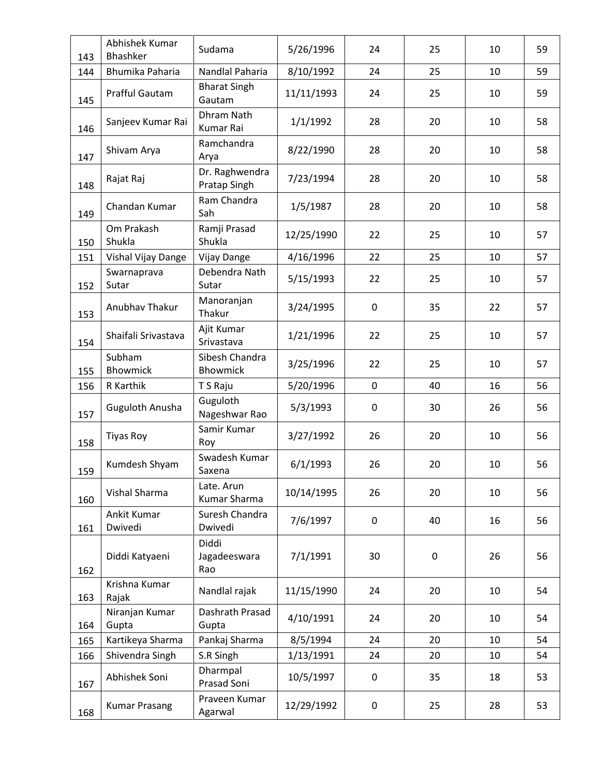| 143 | Abhishek Kumar<br>Bhashker | Sudama                         | 5/26/1996  | 24          | 25 | 10 | 59 |
|-----|----------------------------|--------------------------------|------------|-------------|----|----|----|
| 144 | Bhumika Paharia            | Nandlal Paharia                | 8/10/1992  | 24          | 25 | 10 | 59 |
| 145 | Prafful Gautam             | <b>Bharat Singh</b><br>Gautam  | 11/11/1993 | 24          | 25 | 10 | 59 |
| 146 | Sanjeev Kumar Rai          | Dhram Nath<br>Kumar Rai        | 1/1/1992   | 28          | 20 | 10 | 58 |
| 147 | Shivam Arya                | Ramchandra<br>Arya             | 8/22/1990  | 28          | 20 | 10 | 58 |
| 148 | Rajat Raj                  | Dr. Raghwendra<br>Pratap Singh | 7/23/1994  | 28          | 20 | 10 | 58 |
| 149 | Chandan Kumar              | Ram Chandra<br>Sah             | 1/5/1987   | 28          | 20 | 10 | 58 |
| 150 | Om Prakash<br>Shukla       | Ramji Prasad<br>Shukla         | 12/25/1990 | 22          | 25 | 10 | 57 |
| 151 | Vishal Vijay Dange         | Vijay Dange                    | 4/16/1996  | 22          | 25 | 10 | 57 |
| 152 | Swarnaprava<br>Sutar       | Debendra Nath<br>Sutar         | 5/15/1993  | 22          | 25 | 10 | 57 |
| 153 | Anubhav Thakur             | Manoranjan<br>Thakur           | 3/24/1995  | $\mathbf 0$ | 35 | 22 | 57 |
| 154 | Shaifali Srivastava        | Ajit Kumar<br>Srivastava       | 1/21/1996  | 22          | 25 | 10 | 57 |
| 155 | Subham<br><b>Bhowmick</b>  | Sibesh Chandra<br>Bhowmick     | 3/25/1996  | 22          | 25 | 10 | 57 |
| 156 | R Karthik                  | T S Raju                       | 5/20/1996  | $\mathbf 0$ | 40 | 16 | 56 |
| 157 | Guguloth Anusha            | Guguloth<br>Nageshwar Rao      | 5/3/1993   | 0           | 30 | 26 | 56 |
| 158 | <b>Tiyas Roy</b>           | Samir Kumar<br>Roy             | 3/27/1992  | 26          | 20 | 10 | 56 |
| 159 | Kumdesh Shyam              | Swadesh Kumar<br>Saxena        | 6/1/1993   | 26          | 20 | 10 | 56 |
| 160 | Vishal Sharma              | Late. Arun<br>Kumar Sharma     | 10/14/1995 | 26          | 20 | 10 | 56 |
| 161 | Ankit Kumar<br>Dwivedi     | Suresh Chandra<br>Dwivedi      | 7/6/1997   | 0           | 40 | 16 | 56 |
| 162 | Diddi Katyaeni             | Diddi<br>Jagadeeswara<br>Rao   | 7/1/1991   | 30          | 0  | 26 | 56 |
| 163 | Krishna Kumar<br>Rajak     | Nandlal rajak                  | 11/15/1990 | 24          | 20 | 10 | 54 |
| 164 | Niranjan Kumar<br>Gupta    | Dashrath Prasad<br>Gupta       | 4/10/1991  | 24          | 20 | 10 | 54 |
| 165 | Kartikeya Sharma           | Pankaj Sharma                  | 8/5/1994   | 24          | 20 | 10 | 54 |
| 166 | Shivendra Singh            | S.R Singh                      | 1/13/1991  | 24          | 20 | 10 | 54 |
| 167 | Abhishek Soni              | Dharmpal<br>Prasad Soni        | 10/5/1997  | 0           | 35 | 18 | 53 |
| 168 | <b>Kumar Prasang</b>       | Praveen Kumar<br>Agarwal       | 12/29/1992 | 0           | 25 | 28 | 53 |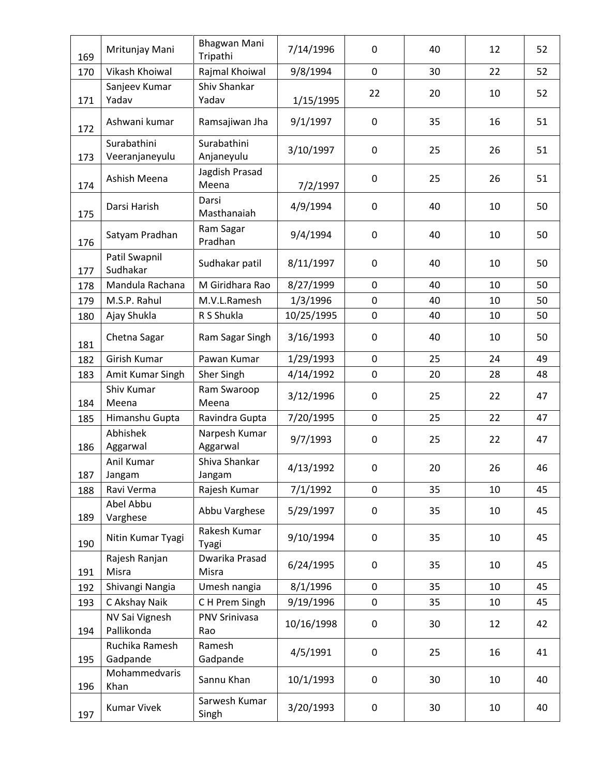| 169 | Mritunjay Mani                | Bhagwan Mani<br>Tripathi    | 7/14/1996  | $\mathbf 0$      | 40 | 12 | 52 |
|-----|-------------------------------|-----------------------------|------------|------------------|----|----|----|
| 170 | Vikash Khoiwal                | Rajmal Khoiwal              | 9/8/1994   | $\mathbf 0$      | 30 | 22 | 52 |
| 171 | Sanjeev Kumar<br>Yadav        | Shiv Shankar<br>Yadav       | 1/15/1995  | 22               | 20 | 10 | 52 |
| 172 | Ashwani kumar                 | Ramsajiwan Jha              | 9/1/1997   | $\mathbf 0$      | 35 | 16 | 51 |
| 173 | Surabathini<br>Veeranjaneyulu | Surabathini<br>Anjaneyulu   | 3/10/1997  | $\mathbf 0$      | 25 | 26 | 51 |
| 174 | Ashish Meena                  | Jagdish Prasad<br>Meena     | 7/2/1997   | $\boldsymbol{0}$ | 25 | 26 | 51 |
| 175 | Darsi Harish                  | Darsi<br>Masthanaiah        | 4/9/1994   | 0                | 40 | 10 | 50 |
| 176 | Satyam Pradhan                | Ram Sagar<br>Pradhan        | 9/4/1994   | $\mathbf 0$      | 40 | 10 | 50 |
| 177 | Patil Swapnil<br>Sudhakar     | Sudhakar patil              | 8/11/1997  | $\mathbf 0$      | 40 | 10 | 50 |
| 178 | Mandula Rachana               | M Giridhara Rao             | 8/27/1999  | $\mathbf 0$      | 40 | 10 | 50 |
| 179 | M.S.P. Rahul                  | M.V.L.Ramesh                | 1/3/1996   | $\pmb{0}$        | 40 | 10 | 50 |
| 180 | Ajay Shukla                   | R S Shukla                  | 10/25/1995 | $\mathbf 0$      | 40 | 10 | 50 |
| 181 | Chetna Sagar                  | Ram Sagar Singh             | 3/16/1993  | $\mathbf 0$      | 40 | 10 | 50 |
| 182 | Girish Kumar                  | Pawan Kumar                 | 1/29/1993  | $\mathbf 0$      | 25 | 24 | 49 |
| 183 | Amit Kumar Singh              | Sher Singh                  | 4/14/1992  | $\mathbf 0$      | 20 | 28 | 48 |
| 184 | Shiv Kumar<br>Meena           | Ram Swaroop<br>Meena        | 3/12/1996  | $\mathbf 0$      | 25 | 22 | 47 |
| 185 | Himanshu Gupta                | Ravindra Gupta              | 7/20/1995  | $\boldsymbol{0}$ | 25 | 22 | 47 |
| 186 | Abhishek<br>Aggarwal          | Narpesh Kumar<br>Aggarwal   | 9/7/1993   | $\boldsymbol{0}$ | 25 | 22 | 47 |
| 187 | Anil Kumar<br>Jangam          | Shiva Shankar<br>Jangam     | 4/13/1992  | $\mathbf 0$      | 20 | 26 | 46 |
| 188 | Ravi Verma                    | Rajesh Kumar                | 7/1/1992   | $\mathbf 0$      | 35 | 10 | 45 |
| 189 | Abel Abbu<br>Varghese         | Abbu Varghese               | 5/29/1997  | $\boldsymbol{0}$ | 35 | 10 | 45 |
| 190 | Nitin Kumar Tyagi             | Rakesh Kumar<br>Tyagi       | 9/10/1994  | $\boldsymbol{0}$ | 35 | 10 | 45 |
| 191 | Rajesh Ranjan<br>Misra        | Dwarika Prasad<br>Misra     | 6/24/1995  | $\pmb{0}$        | 35 | 10 | 45 |
| 192 | Shivangi Nangia               | Umesh nangia                | 8/1/1996   | $\mathbf 0$      | 35 | 10 | 45 |
| 193 | C Akshay Naik                 | CH Prem Singh               | 9/19/1996  | 0                | 35 | 10 | 45 |
| 194 | NV Sai Vignesh<br>Pallikonda  | <b>PNV Srinivasa</b><br>Rao | 10/16/1998 | $\pmb{0}$        | 30 | 12 | 42 |
| 195 | Ruchika Ramesh<br>Gadpande    | Ramesh<br>Gadpande          | 4/5/1991   | $\boldsymbol{0}$ | 25 | 16 | 41 |
| 196 | Mohammedvaris<br>Khan         | Sannu Khan                  | 10/1/1993  | $\pmb{0}$        | 30 | 10 | 40 |
| 197 | <b>Kumar Vivek</b>            | Sarwesh Kumar<br>Singh      | 3/20/1993  | 0                | 30 | 10 | 40 |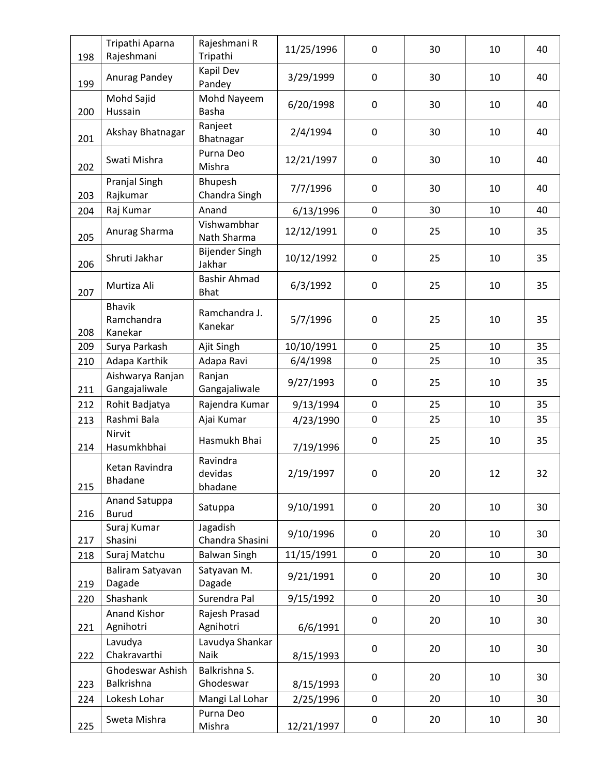|     | Tripathi Aparna                        | Rajeshmani R                       | 11/25/1996 | $\mathbf 0$ | 30 | 10 | 40 |
|-----|----------------------------------------|------------------------------------|------------|-------------|----|----|----|
| 198 | Rajeshmani                             | Tripathi<br>Kapil Dev              |            |             |    |    |    |
| 199 | Anurag Pandey                          | Pandey                             | 3/29/1999  | $\mathbf 0$ | 30 | 10 | 40 |
| 200 | Mohd Sajid<br>Hussain                  | Mohd Nayeem<br>Basha               | 6/20/1998  | 0           | 30 | 10 | 40 |
| 201 | Akshay Bhatnagar                       | Ranjeet<br>Bhatnagar               | 2/4/1994   | $\pmb{0}$   | 30 | 10 | 40 |
| 202 | Swati Mishra                           | Purna Deo<br>Mishra                | 12/21/1997 | $\mathbf 0$ | 30 | 10 | 40 |
| 203 | Pranjal Singh<br>Rajkumar              | Bhupesh<br>Chandra Singh           | 7/7/1996   | $\mathbf 0$ | 30 | 10 | 40 |
| 204 | Raj Kumar                              | Anand                              | 6/13/1996  | $\mathbf 0$ | 30 | 10 | 40 |
| 205 | Anurag Sharma                          | Vishwambhar<br>Nath Sharma         | 12/12/1991 | 0           | 25 | 10 | 35 |
| 206 | Shruti Jakhar                          | <b>Bijender Singh</b><br>Jakhar    | 10/12/1992 | $\mathbf 0$ | 25 | 10 | 35 |
| 207 | Murtiza Ali                            | <b>Bashir Ahmad</b><br><b>Bhat</b> | 6/3/1992   | $\mathbf 0$ | 25 | 10 | 35 |
| 208 | <b>Bhavik</b><br>Ramchandra<br>Kanekar | Ramchandra J.<br>Kanekar           | 5/7/1996   | $\pmb{0}$   | 25 | 10 | 35 |
| 209 | Surya Parkash                          | Ajit Singh                         | 10/10/1991 | $\mathbf 0$ | 25 | 10 | 35 |
| 210 | Adapa Karthik                          | Adapa Ravi                         | 6/4/1998   | $\pmb{0}$   | 25 | 10 | 35 |
| 211 | Aishwarya Ranjan<br>Gangajaliwale      | Ranjan<br>Gangajaliwale            | 9/27/1993  | 0           | 25 | 10 | 35 |
| 212 | Rohit Badjatya                         | Rajendra Kumar                     | 9/13/1994  | $\mathbf 0$ | 25 | 10 | 35 |
| 213 | Rashmi Bala                            | Ajai Kumar                         | 4/23/1990  | $\pmb{0}$   | 25 | 10 | 35 |
| 214 | Nirvit<br>Hasumkhbhai                  | Hasmukh Bhai                       | 7/19/1996  | $\pmb{0}$   | 25 | 10 | 35 |
| 215 | Ketan Ravindra<br><b>Bhadane</b>       | Ravindra<br>devidas<br>bhadane     | 2/19/1997  | 0           | 20 | 12 | 32 |
| 216 | Anand Satuppa<br><b>Burud</b>          | Satuppa                            | 9/10/1991  | $\mathbf 0$ | 20 | 10 | 30 |
| 217 | Suraj Kumar<br>Shasini                 | Jagadish<br>Chandra Shasini        | 9/10/1996  | $\mathbf 0$ | 20 | 10 | 30 |
| 218 | Suraj Matchu                           | <b>Balwan Singh</b>                | 11/15/1991 | $\mathbf 0$ | 20 | 10 | 30 |
| 219 | Baliram Satyavan<br>Dagade             | Satyavan M.<br>Dagade              | 9/21/1991  | $\pmb{0}$   | 20 | 10 | 30 |
| 220 | Shashank                               | Surendra Pal                       | 9/15/1992  | $\mathbf 0$ | 20 | 10 | 30 |
|     | Anand Kishor                           | Rajesh Prasad                      |            | $\pmb{0}$   | 20 | 10 | 30 |
| 221 | Agnihotri                              | Agnihotri                          | 6/6/1991   |             |    |    |    |
| 222 | Lavudya<br>Chakravarthi                | Lavudya Shankar<br>Naik            | 8/15/1993  | $\pmb{0}$   | 20 | 10 | 30 |
| 223 | Ghodeswar Ashish<br>Balkrishna         | Balkrishna S.<br>Ghodeswar         | 8/15/1993  | $\pmb{0}$   | 20 | 10 | 30 |
| 224 | Lokesh Lohar                           | Mangi Lal Lohar                    | 2/25/1996  | $\mathbf 0$ | 20 | 10 | 30 |
| 225 | Sweta Mishra                           | Purna Deo<br>Mishra                | 12/21/1997 | 0           | 20 | 10 | 30 |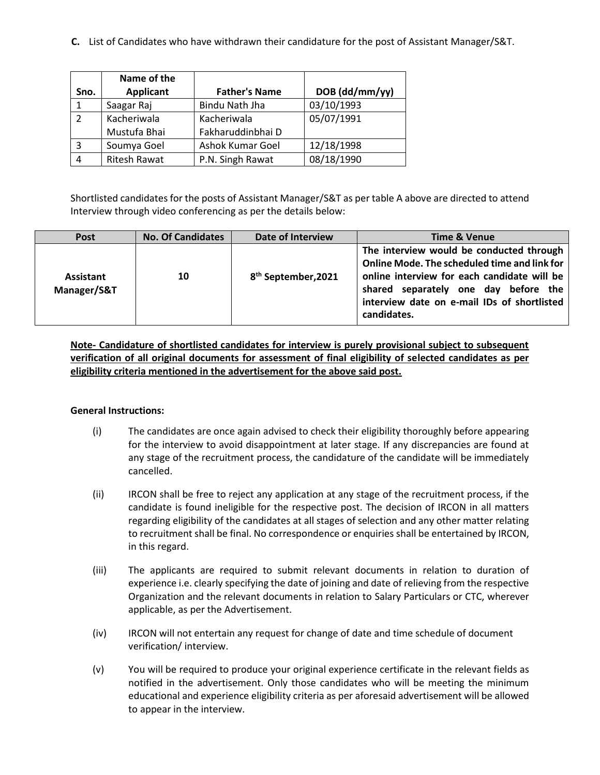**C.** List of Candidates who have withdrawn their candidature for the post of Assistant Manager/S&T.

|                | Name of the         |                         |                |
|----------------|---------------------|-------------------------|----------------|
| Sno.           | <b>Applicant</b>    | <b>Father's Name</b>    | DOB (dd/mm/yy) |
| 1              | Saagar Raj          | Bindu Nath Jha          | 03/10/1993     |
| $\overline{2}$ | Kacheriwala         | Kacheriwala             | 05/07/1991     |
|                | Mustufa Bhai        | Fakharuddinbhai D       |                |
| 3              | Soumya Goel         | <b>Ashok Kumar Goel</b> | 12/18/1998     |
| 4              | <b>Ritesh Rawat</b> | P.N. Singh Rawat        | 08/18/1990     |

Shortlisted candidates for the posts of Assistant Manager/S&T as per table A above are directed to attend Interview through video conferencing as per the details below:

| Post                     | <b>No. Of Candidates</b> | Date of Interview               | <b>Time &amp; Venue</b>                                                                                                                                                                                                                       |
|--------------------------|--------------------------|---------------------------------|-----------------------------------------------------------------------------------------------------------------------------------------------------------------------------------------------------------------------------------------------|
| Assistant<br>Manager/S&T | 10                       | 8 <sup>th</sup> September, 2021 | The interview would be conducted through<br>Online Mode. The scheduled time and link for<br>online interview for each candidate will be<br>shared separately one day before the<br>interview date on e-mail IDs of shortlisted<br>candidates. |

**Note- Candidature of shortlisted candidates for interview is purely provisional subject to subsequent verification of all original documents for assessment of final eligibility of selected candidates as per eligibility criteria mentioned in the advertisement for the above said post.**

## **General Instructions:**

- (i) The candidates are once again advised to check their eligibility thoroughly before appearing for the interview to avoid disappointment at later stage. If any discrepancies are found at any stage of the recruitment process, the candidature of the candidate will be immediately cancelled.
- (ii) IRCON shall be free to reject any application at any stage of the recruitment process, if the candidate is found ineligible for the respective post. The decision of IRCON in all matters regarding eligibility of the candidates at all stages of selection and any other matter relating to recruitment shall be final. No correspondence or enquiries shall be entertained by IRCON, in this regard.
- (iii) The applicants are required to submit relevant documents in relation to duration of experience i.e. clearly specifying the date of joining and date of relieving from the respective Organization and the relevant documents in relation to Salary Particulars or CTC, wherever applicable, as per the Advertisement.
- (iv) IRCON will not entertain any request for change of date and time schedule of document verification/ interview.
- (v) You will be required to produce your original experience certificate in the relevant fields as notified in the advertisement. Only those candidates who will be meeting the minimum educational and experience eligibility criteria as per aforesaid advertisement will be allowed to appear in the interview.